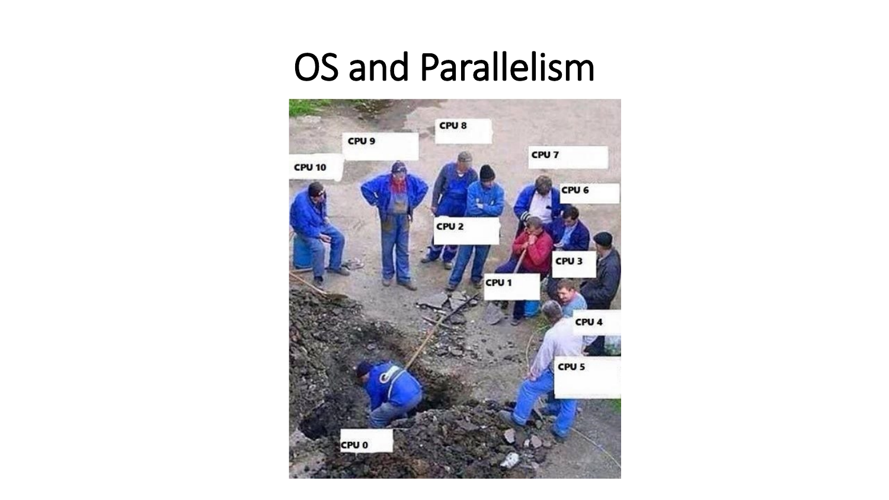# OS and Parallelism

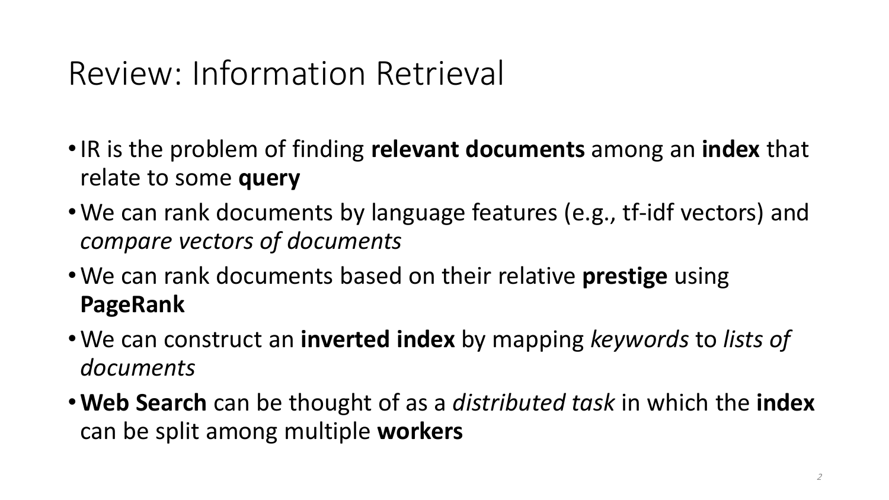### Review: Information Retrieval

- •IR is the problem of finding **relevant documents** among an **index** that relate to some **query**
- •We can rank documents by language features (e.g., tf-idf vectors) and *compare vectors of documents*
- •We can rank documents based on their relative **prestige** using **PageRank**
- •We can construct an **inverted index** by mapping *keywords* to *lists of documents*
- •**Web Search** can be thought of as a *distributed task* in which the **index** can be split among multiple **workers**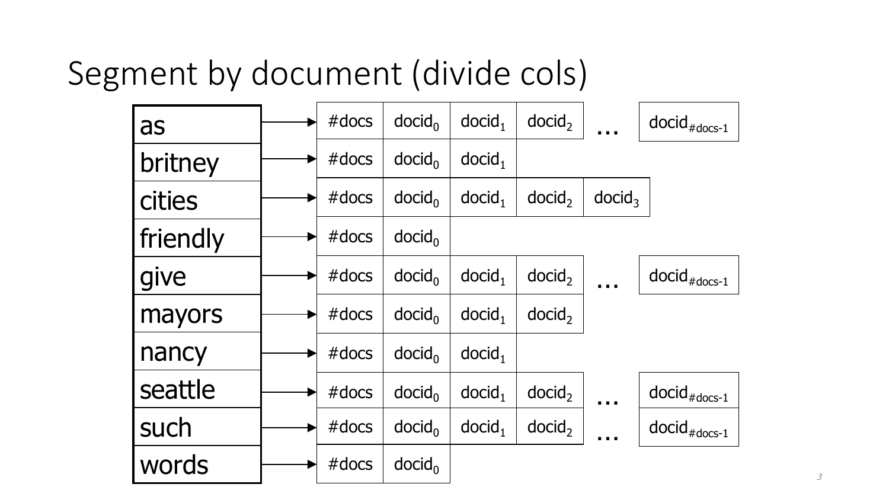## Segment by document (divide cols)

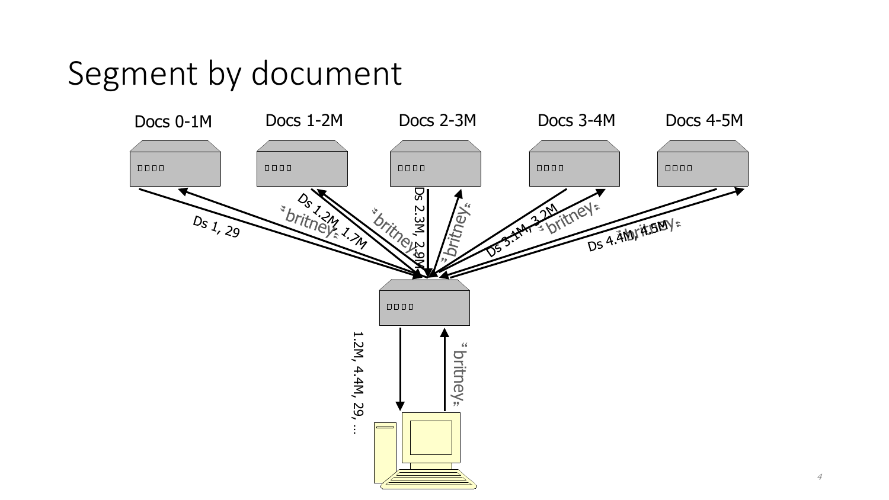#### Segment by document

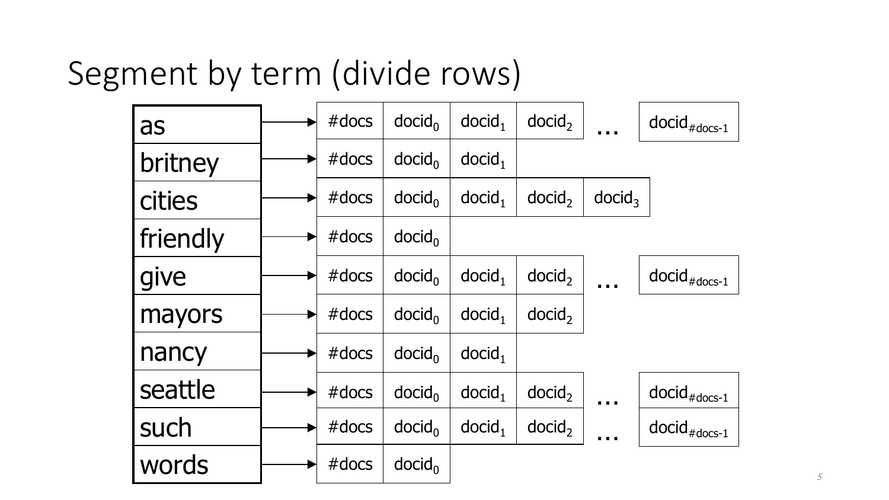## Segment by term (divide rows)

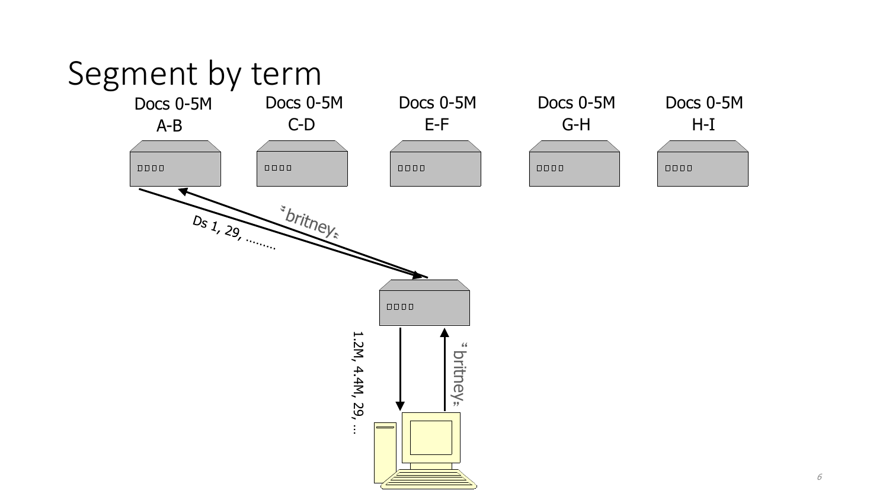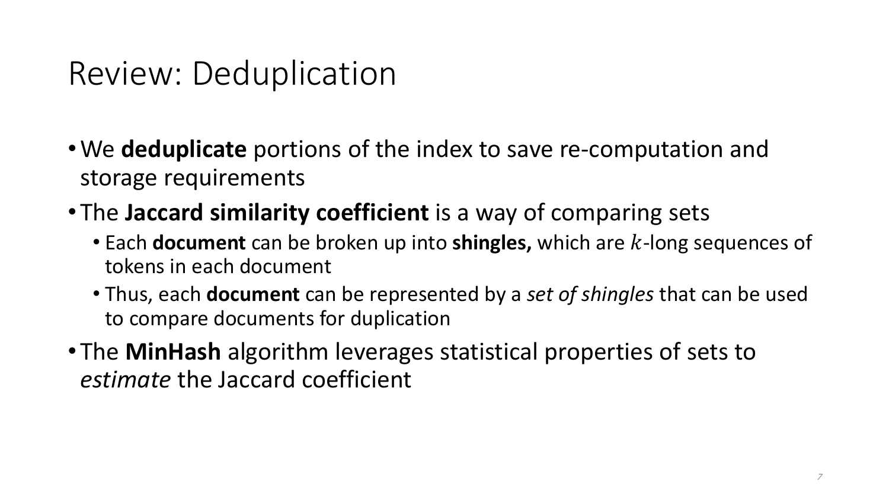#### Review: Deduplication

- •We **deduplicate** portions of the index to save re-computation and storage requirements
- The **Jaccard similarity coefficient** is a way of comparing sets
	- Each **document** can be broken up into **shingles,** which are k-long sequences of tokens in each document
	- Thus, each **document** can be represented by a *set of shingles* that can be used to compare documents for duplication
- The **MinHash** algorithm leverages statistical properties of sets to *estimate* the Jaccard coefficient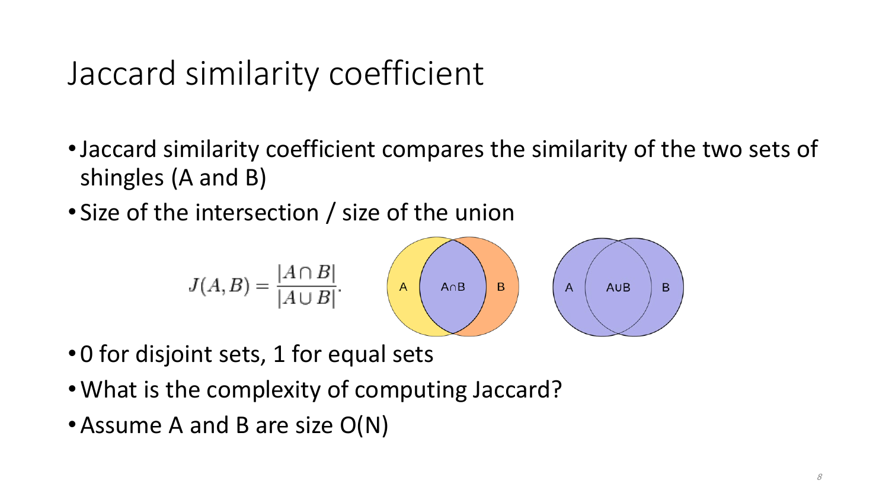## Jaccard similarity coefficient

- •Jaccard similarity coefficient compares the similarity of the two sets of shingles (A and B)
- Size of the intersection / size of the union

$$
J(A, B) = \frac{|A \cap B|}{|A \cup B|} \qquad \qquad \mathsf{A} \qquad \qquad \mathsf{A} \qquad \mathsf{B} \qquad \qquad \mathsf{A} \qquad \qquad \mathsf{A} \qquad \mathsf{A} \cup \mathsf{B} \qquad \mathsf{B}
$$

- 0 for disjoint sets, 1 for equal sets
- •What is the complexity of computing Jaccard?
- Assume A and B are size O(N)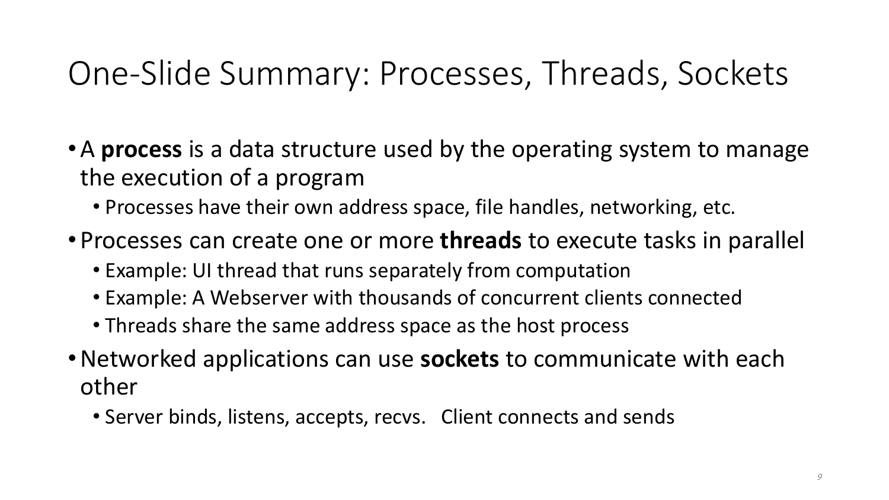## One-Slide Summary: Processes, Threads, Sockets

- •A **process** is a data structure used by the operating system to manage the execution of a program
	- Processes have their own address space, file handles, networking, etc.
- Processes can create one or more **threads** to execute tasks in parallel
	- Example: UI thread that runs separately from computation
	- Example: A Webserver with thousands of concurrent clients connected
	- Threads share the same address space as the host process
- •Networked applications can use **sockets** to communicate with each other
	- Server binds, listens, accepts, recvs. Client connects and sends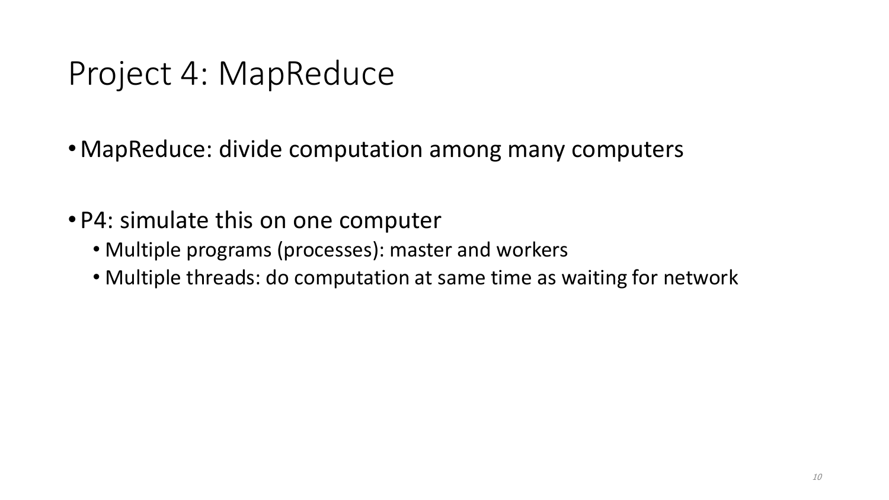#### Project 4: MapReduce

- •MapReduce: divide computation among many computers
- P4: simulate this on one computer
	- Multiple programs (processes): master and workers
	- Multiple threads: do computation at same time as waiting for network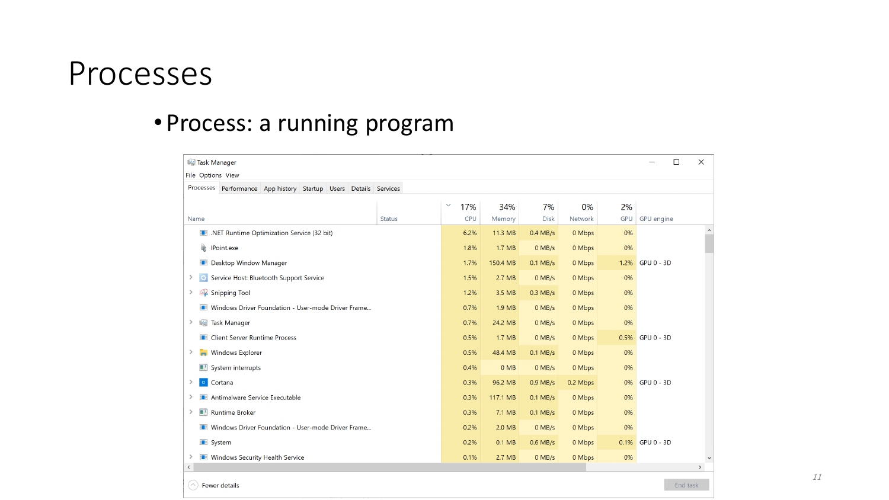#### Processes

 $(\wedge)$  Fewer details

#### • Process: a running program

| Task Manager<br>□                                                   |               |                     |          |             | $\times$ |            |                   |  |               |
|---------------------------------------------------------------------|---------------|---------------------|----------|-------------|----------|------------|-------------------|--|---------------|
| File Options View                                                   |               |                     |          |             |          |            |                   |  |               |
| Processes Performance App history Startup Users Details Services    |               |                     |          |             |          |            |                   |  |               |
|                                                                     |               | $\checkmark$<br>17% | 34%      | 7%          | 0%       | 2%         |                   |  |               |
| Name                                                                | <b>Status</b> | <b>CPU</b>          | Memory   | <b>Disk</b> | Network  | <b>GPU</b> | <b>GPU</b> engine |  |               |
| I. NET Runtime Optimization Service (32 bit)                        |               | 6.2%                | 11.3 MB  | $0.4$ MB/s  | 0 Mbps   | 0%         |                   |  | $\land$       |
| <b>Point.exe</b>                                                    |               |                     | 1.7 MB   | $0$ MB/s    | 0 Mbps   | 0%         |                   |  |               |
| <b>Desktop Window Manager</b>                                       |               |                     | 150.4 MB | $0.1$ MB/s  | 0 Mbps   | 1.2%       | <b>GPU 0 - 3D</b> |  |               |
| Service Host: Bluetooth Support Service<br>≻<br>$\ddot{\mathbf{C}}$ |               |                     | 2.7 MB   | $0$ MB/s    | 0 Mbps   | 0%         |                   |  |               |
| Snipping Tool                                                       |               |                     | 3.5 MB   | $0.3$ MB/s  | 0 Mbps   | 0%         |                   |  |               |
| Windows Driver Foundation - User-mode Driver Frame                  |               |                     | 1.9 MB   | $0$ MB/s    | 0 Mbps   | 0%         |                   |  |               |
| <b>I Task Manager</b><br>≻                                          |               |                     | 24.2 MB  | $0$ MB/s    | 0 Mbps   | 0%         |                   |  |               |
| <b>Ellient Server Runtime Process</b>                               |               |                     | 1.7 MB   | $0$ MB/s    | 0 Mbps   | 0.5%       | GPU 0 - 3D        |  |               |
| <b>Windows Explorer</b><br>≻<br>īн.                                 |               |                     | 48.4 MB  | $0.1$ MB/s  | 0 Mbps   | 0%         |                   |  |               |
| System interrupts                                                   |               |                     | $0$ MB   | $0$ MB/s    | 0 Mbps   | 0%         |                   |  |               |
| $\circ$<br>Cortana                                                  |               |                     | 96.2 MB  | $0.9$ MB/s  | 0.2 Mbps | 0%         | <b>GPU 0 - 3D</b> |  |               |
| Antimalware Service Executable                                      |               |                     | 117.1 MB | $0.1$ MB/s  | 0 Mbps   | 0%         |                   |  |               |
| Runtime Broker<br>≻                                                 |               |                     | 7.1 MB   | $0.1$ MB/s  | 0 Mbps   | 0%         |                   |  |               |
| Windows Driver Foundation - User-mode Driver Frame                  |               | 0.2%                | 2.0 MB   | $0$ MB/s    | 0 Mbps   | 0%         |                   |  |               |
| <b>B</b> System                                                     |               |                     | 0.1 MB   | $0.6$ MB/s  | 0 Mbps   |            | 0.1% GPU 0 - 3D   |  |               |
| <b>Windows Security Health Service</b><br>⋗                         |               |                     | 2.7 MB   | $0$ MB/s    | 0 Mbps   | 0%         |                   |  | $\checkmark$  |
| $\langle$                                                           |               |                     |          |             |          |            |                   |  | $\rightarrow$ |

11

End task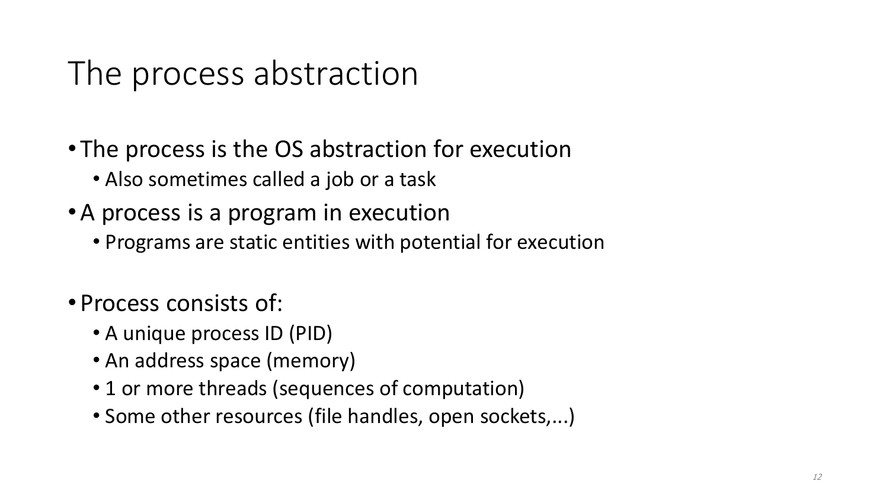## The process abstraction

- The process is the OS abstraction for execution
	- Also sometimes called a job or a task
- •A process is a program in execution
	- Programs are static entities with potential for execution
- Process consists of:
	- A unique process ID (PID)
	- An address space (memory)
	- 1 or more threads (sequences of computation)
	- Some other resources (file handles, open sockets,...)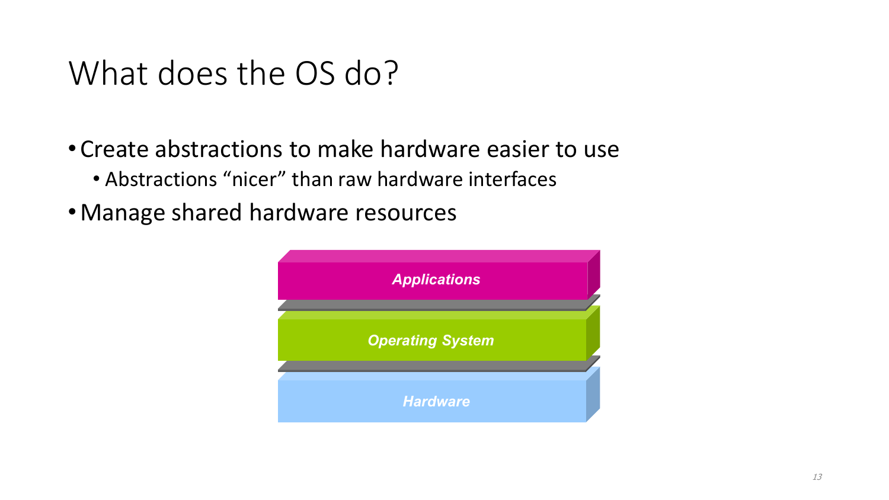#### What does the OS do?

- Create abstractions to make hardware easier to use
	- Abstractions "nicer" than raw hardware interfaces
- •Manage shared hardware resources

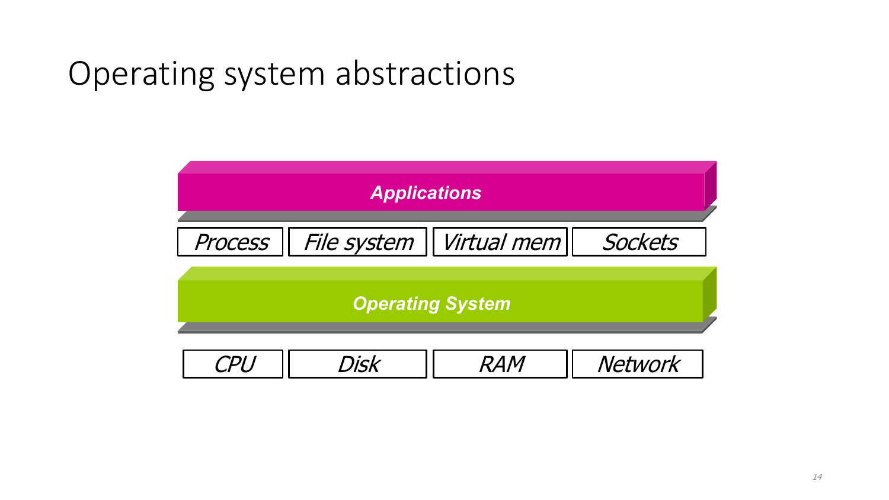## Operating system abstractions

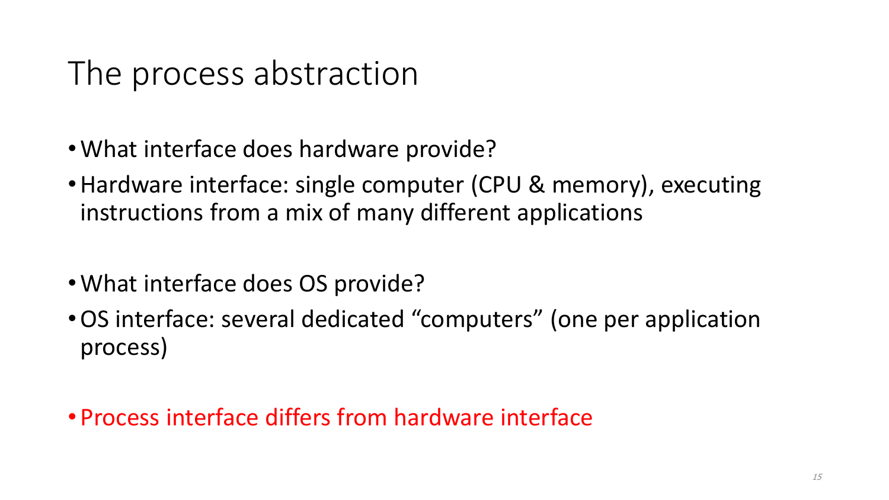#### The process abstraction

- •What interface does hardware provide?
- Hardware interface: single computer (CPU & memory), executing instructions from a mix of many different applications
- •What interface does OS provide?
- •OS interface: several dedicated "computers" (one per application process)
- Process interface differs from hardware interface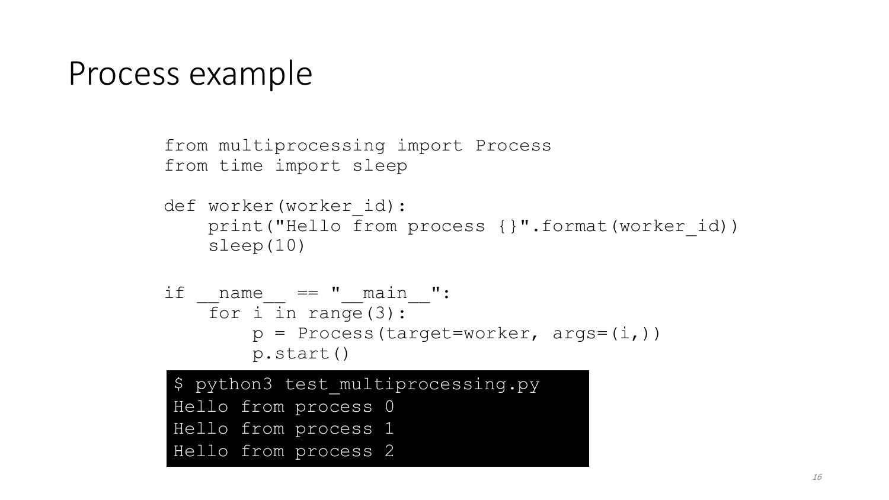#### Process example

```
from multiprocessing import Process
from time import sleep
def worker(worker_id):
    print("Hello from process {}".format(worker id))
    sleep(10)
if name == " main ":
   \overline{f}or i in range(3):
        p = Process(target=worker, args=(i,))p.start()
$ python3 test multiprocessing.py
Hello from process 0
Hello from process 1
Hello from process 2
```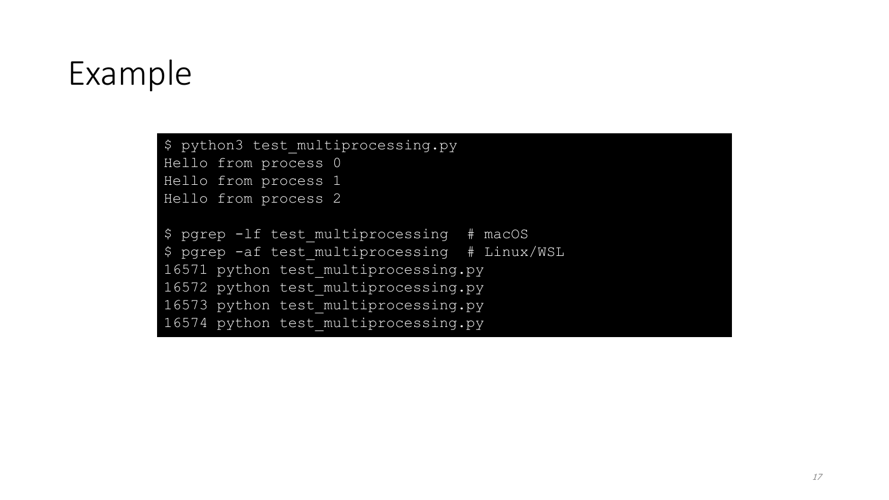#### Example

\$ python3 test multiprocessing.py Hello from process 0 Hello from process 1 Hello from process 2 \$ pgrep -lf test multiprocessing # macOS \$ pgrep -af test multiprocessing # Linux/WSL

16571 python test\_multiprocessing.py 16572 python test multiprocessing.py 16573 python test multiprocessing.py 16574 python test multiprocessing.py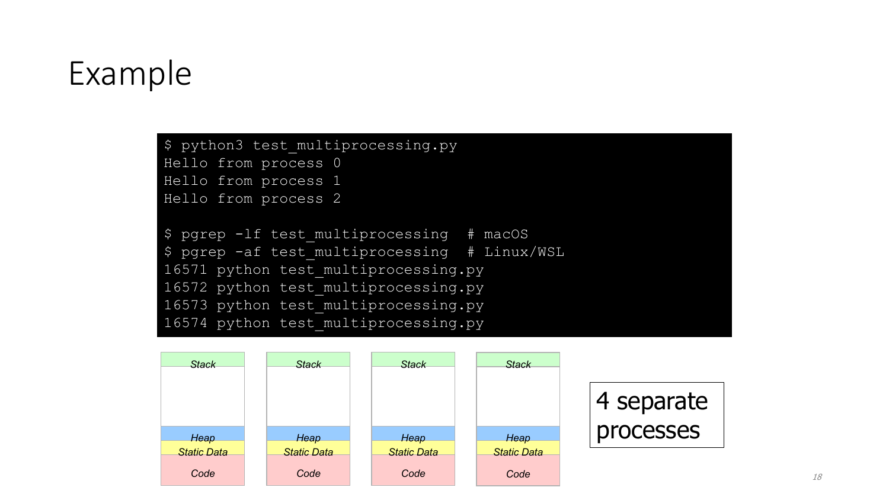#### Example

\$ python3 test multiprocessing.py

Hello from process 0 Hello from process 1

Hello from process 2

\$ pgrep -lf test\_multiprocessing # macOS \$ pgrep -af test multiprocessing # Linux/WSL 16571 python test multiprocessing.py 16572 python test multiprocessing.py 16573 python test multiprocessing.py 16574 python test multiprocessing.py

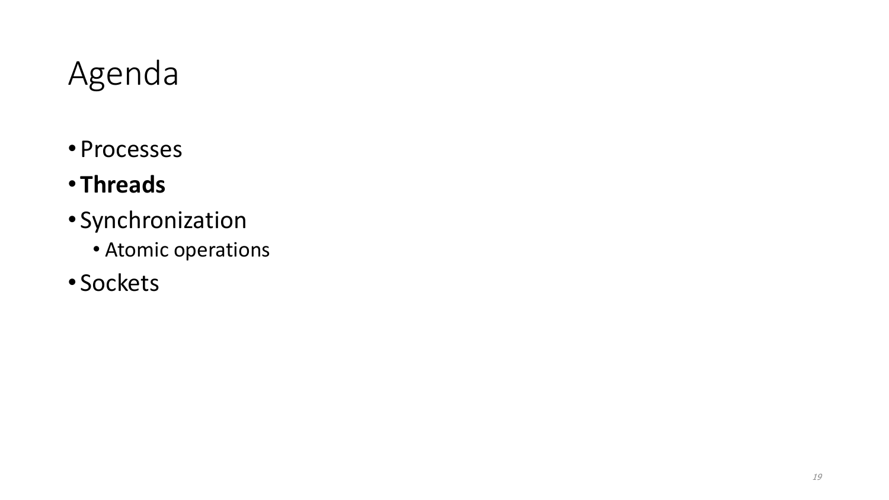#### Agenda

- Processes
- **Threads**
- Synchronization
	- Atomic operations
- Sockets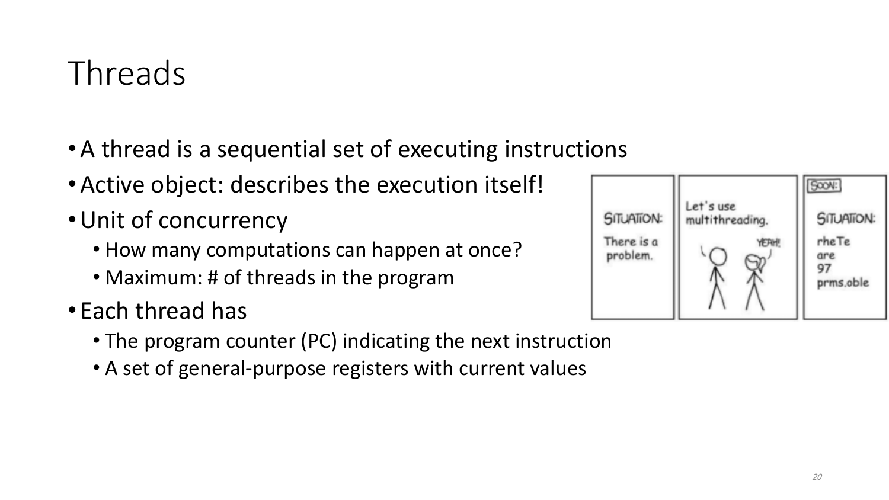# Threads

- •A thread is a sequential set of executing instructions
- •Active object: describes the execution itself!
- •Unit of concurrency
	- How many computations can happen at once?
	- Maximum: # of threads in the program
- Each thread has
	- The program counter (PC) indicating the next instruction
	- A set of general-purpose registers with current values

| <b>SITUATION:</b>      | Let's use<br>multithreading. | SOON:<br><b>SITUATION:</b> |
|------------------------|------------------------------|----------------------------|
| There is a<br>problem. | YEAH!                        | rheTe<br>are<br>prms.oble  |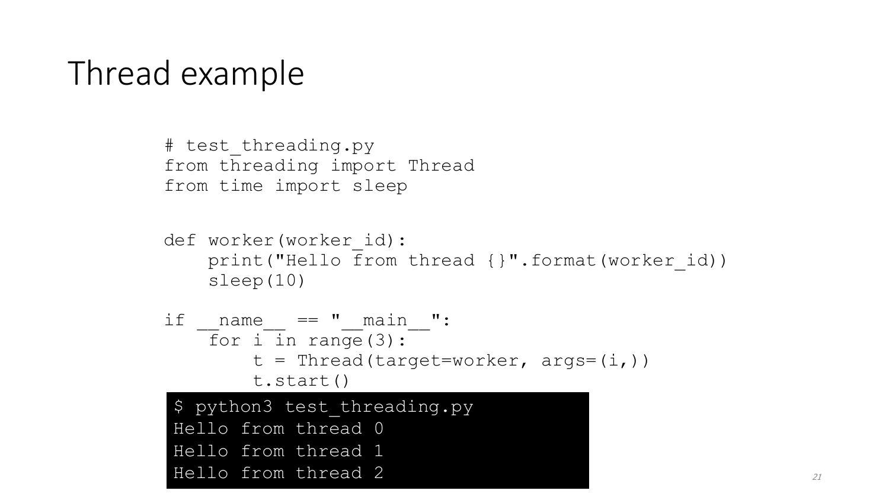#### Thread example

```
# test threading.py
from threading import Thread
from time import sleep
```

```
def worker(worker id):
    print("Hello from thread {}".format(worker id))
    sleep(10)
```

```
if name == " main ":
   \overline{f}or i in range(3):
        t = Thread(target=worker, args=(i,))t.start()
```

```
$ python3 test threading.py
Hello from thread 0
Hello from thread 1
Hello from thread 2
```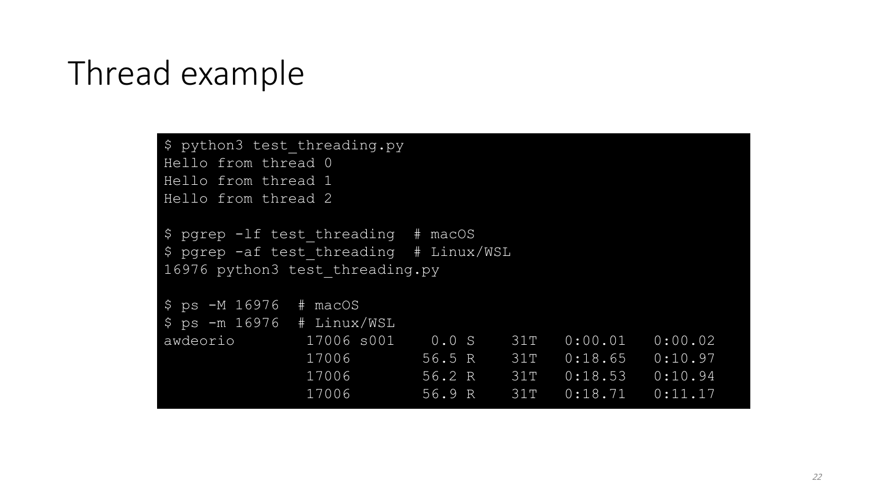#### Thread example

```
$ python3 test threading.py
Hello from thread 0
Hello from thread 1
Hello from thread 2
$ pgrep -lf test_threading # macOS
$ pgrep -af test_threading # Linux/WSL
16976 python3 test_threading.py
$ ps -M 16976 # macOS
$ ps -m 16976 # Linux/WSL
awdeorio 17006 s001 0.0 S 31T 0:00.01 0:00.02 
              17006 56.5 R 31T 0:18.65 0:10.97 
              17006 56.2 R 31T 0:18.53 0:10.94 
              17006 56.9 R 31T 0:18.71 0:11.17
```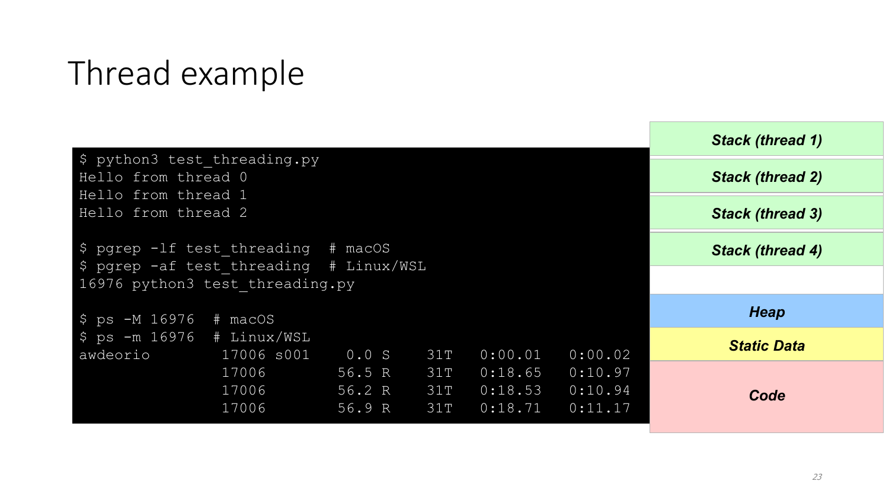#### Thread example

|                                                                                 |                |                  |            |                    |                    | <b>Stack (thread 1)</b> |
|---------------------------------------------------------------------------------|----------------|------------------|------------|--------------------|--------------------|-------------------------|
| \$ python3 test threading.py<br>Hello from thread 0                             |                |                  |            |                    |                    | <b>Stack (thread 2)</b> |
| Hello from thread 1<br>Hello from thread 2                                      |                |                  |            |                    |                    | <b>Stack (thread 3)</b> |
|                                                                                 |                |                  |            |                    |                    |                         |
| $$$ pgrep -1f test threading # macOS<br>\$ pgrep -af test threading # Linux/WSL |                |                  |            |                    |                    | <b>Stack (thread 4)</b> |
| 16976 python3 test threading.py                                                 |                |                  |            |                    |                    |                         |
| $$ ps -M 16976 # maccS$                                                         |                |                  |            |                    |                    | <b>Heap</b>             |
| $$ps -m 16976 # Linux/WSL$<br>awdeorio                                          | 17006 s001     | 0.0 S            | 31T        | 0:00.01            | 0:00.02            | <b>Static Data</b>      |
|                                                                                 | 17006          | 56.5 R           | 31T        | 0:18.65            | 0:10.97            |                         |
|                                                                                 | 17006<br>17006 | 56.2 R<br>56.9 R | 31T<br>31T | 0:18.53<br>0:18.71 | 0:10.94<br>0:11.17 | Code                    |
|                                                                                 |                |                  |            |                    |                    |                         |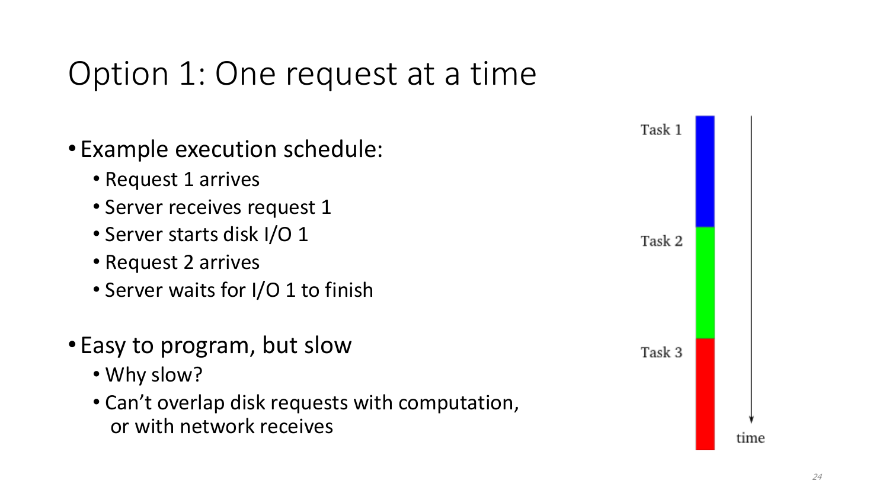#### Option 1: One request at a time

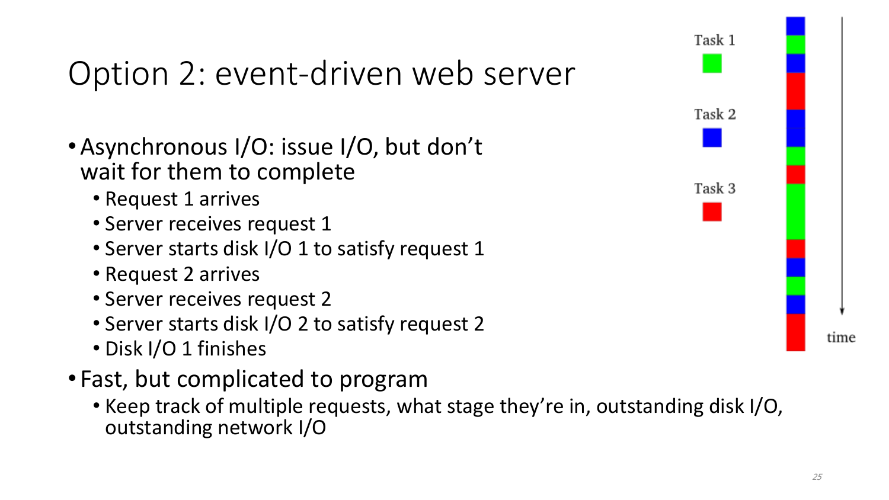# Option 2: event-driven web server

- •Asynchronous I/O: issue I/O, but don't wait for them to complete
	- Request 1 arrives
	- Server receives request 1
	- Server starts disk I/O 1 to satisfy request 1
	- Request 2 arrives
	- Server receives request 2
	- Server starts disk I/O 2 to satisfy request 2
	- Disk I/O 1 finishes
- Fast, but complicated to program
	- Keep track of multiple requests, what stage they're in, outstanding disk I/O, outstanding network I/O

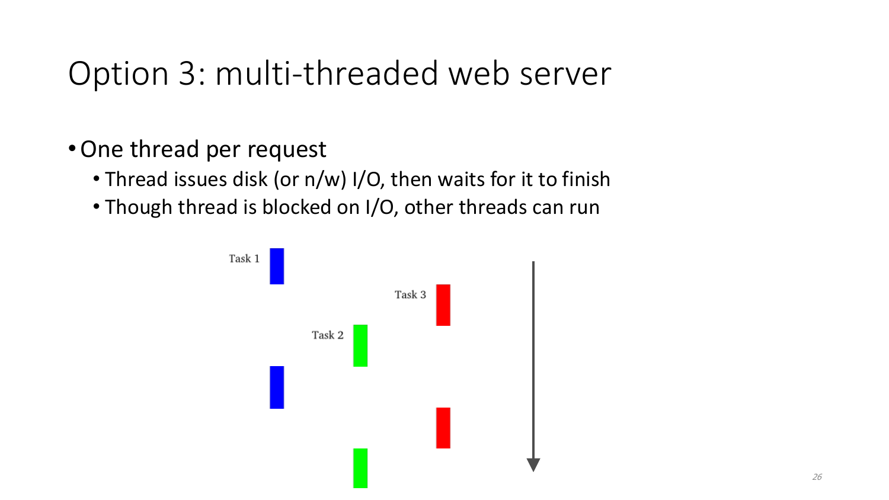#### Option 3: multi-threaded web server

- •One thread per request
	- Thread issues disk (or n/w) I/O, then waits for it to finish
	- Though thread is blocked on I/O, other threads can run

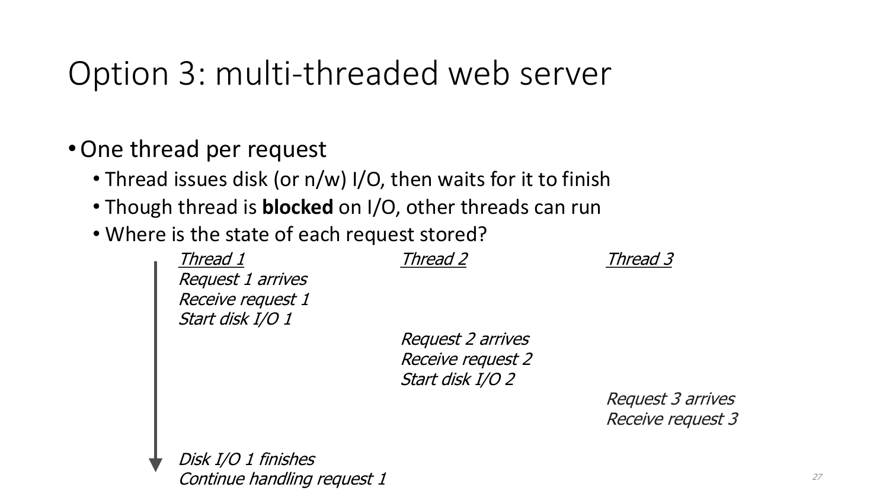### Option 3: multi-threaded web server

- •One thread per request
	- Thread issues disk (or n/w) I/O, then waits for it to finish
	- Though thread is **blocked** on I/O, other threads can run
	- Where is the state of each request stored?

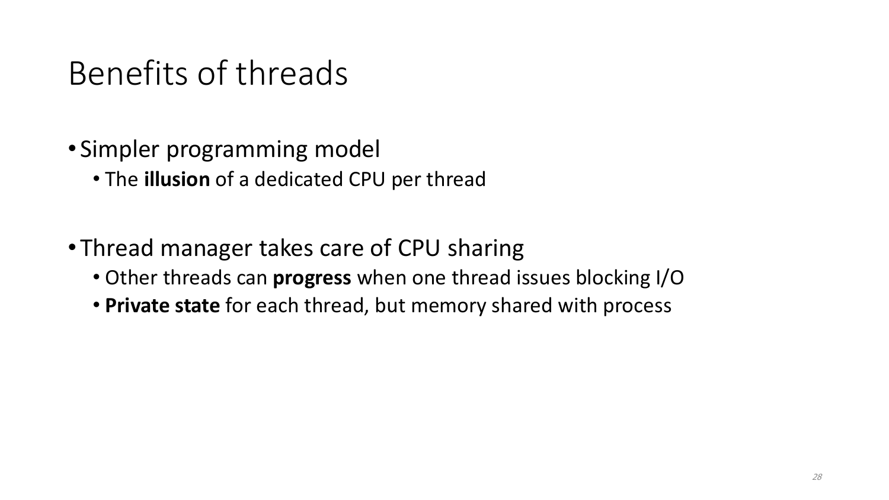#### Benefits of threads

- Simpler programming model
	- The **illusion** of a dedicated CPU per thread
- Thread manager takes care of CPU sharing
	- Other threads can **progress** when one thread issues blocking I/O
	- **Private state** for each thread, but memory shared with process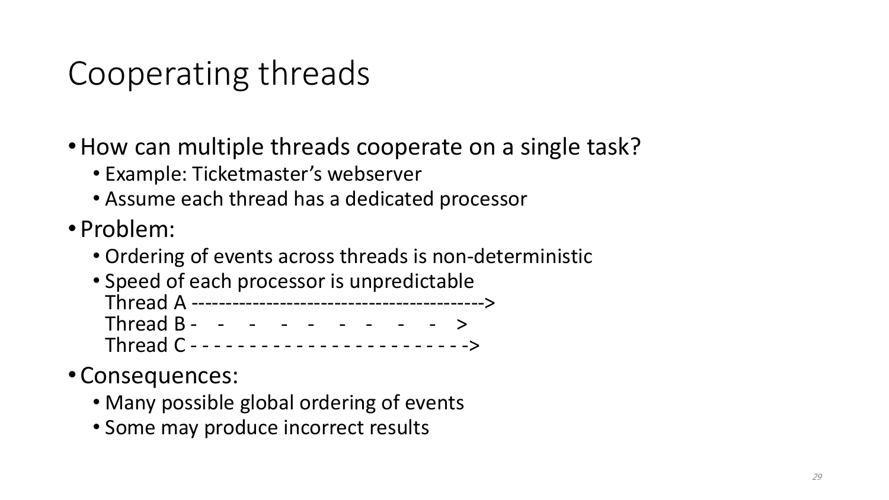# Cooperating threads

- •How can multiple threads cooperate on a single task?
	- Example: Ticketmaster's webserver
	- Assume each thread has a dedicated processor
- Problem:
	- Ordering of events across threads is non-deterministic
	- Speed of each processor is unpredictable Thread A -------------------------------------------> Thread B - - - - - - - - - > Thread C - - - - - - - - - - - - - - - - - - - - - - - ->
- Consequences:
	- Many possible global ordering of events
	- Some may produce incorrect results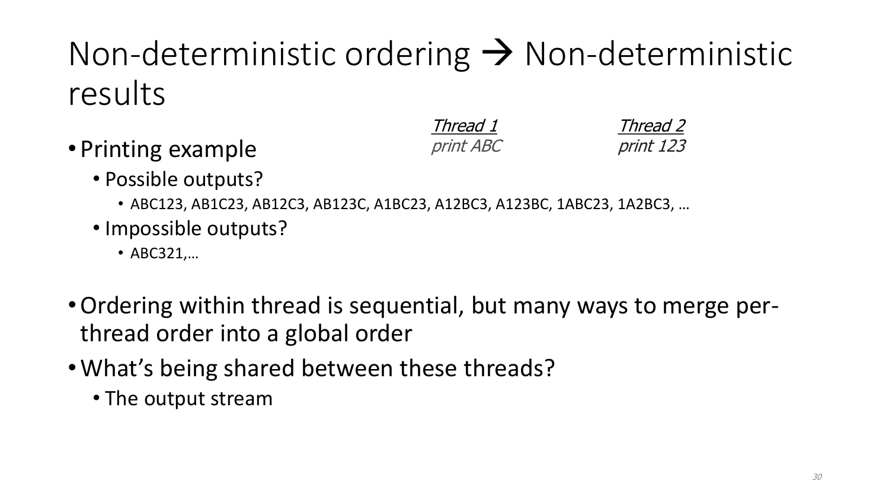# Non-deterministic ordering  $\rightarrow$  Non-deterministic results

• Printing example

Thread 1 print ABC

Thread 2 print 123

- Possible outputs?
	- ABC123, AB1C23, AB12C3, AB123C, A1BC23, A12BC3, A123BC, 1ABC23, 1A2BC3, …
- Impossible outputs?
	- ABC321,…
- •Ordering within thread is sequential, but many ways to merge perthread order into a global order
- •What's being shared between these threads?
	- The output stream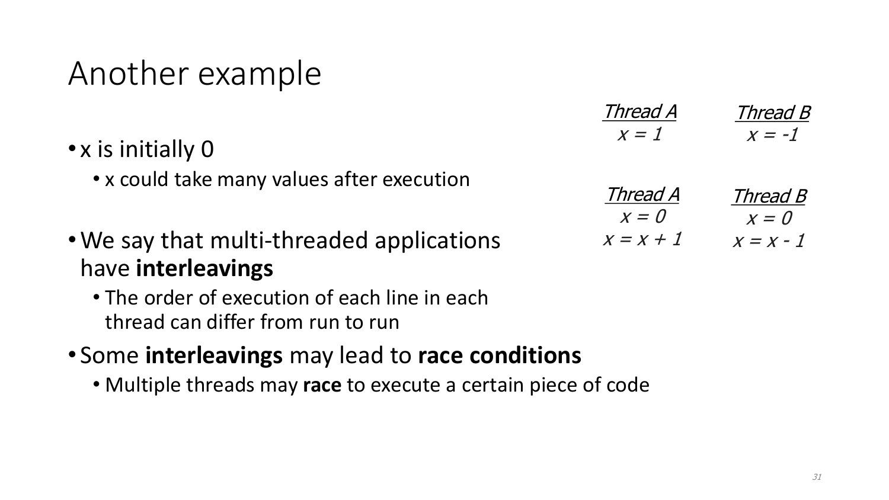#### Another example

- x is initially 0
	- x could take many values after execution
- •We say that multi-threaded applications have **interleavings**
	- The order of execution of each line in each thread can differ from run to run
- Some **interleavings** may lead to **race conditions**
	- Multiple threads may **race** to execute a certain piece of code

| Thread A | Thread B |
|----------|----------|
|          |          |

| <i>Thread A</i> | <i>Thread B</i> |  |  |
|-----------------|-----------------|--|--|
| $x = 0$         | $x=0$           |  |  |
| $x = x + 1$     | $x = x - 1$     |  |  |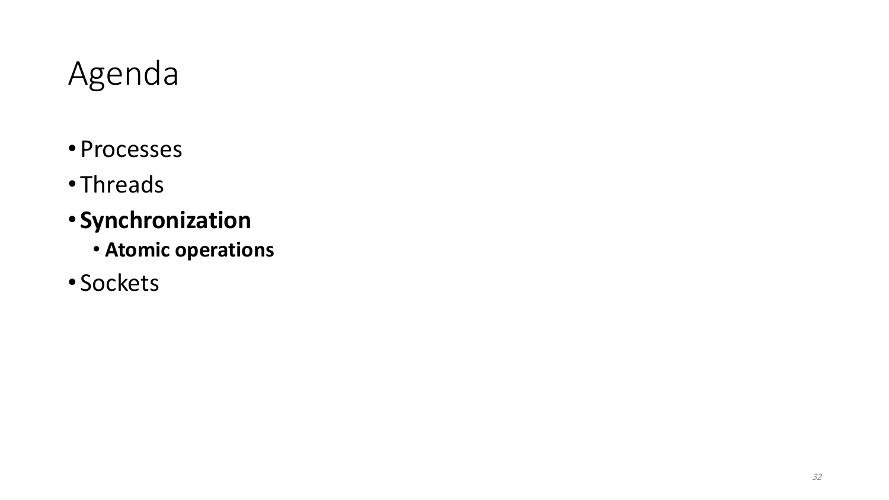#### Agenda

- Processes
- Threads
- **Synchronization**
	- **Atomic operations**
- Sockets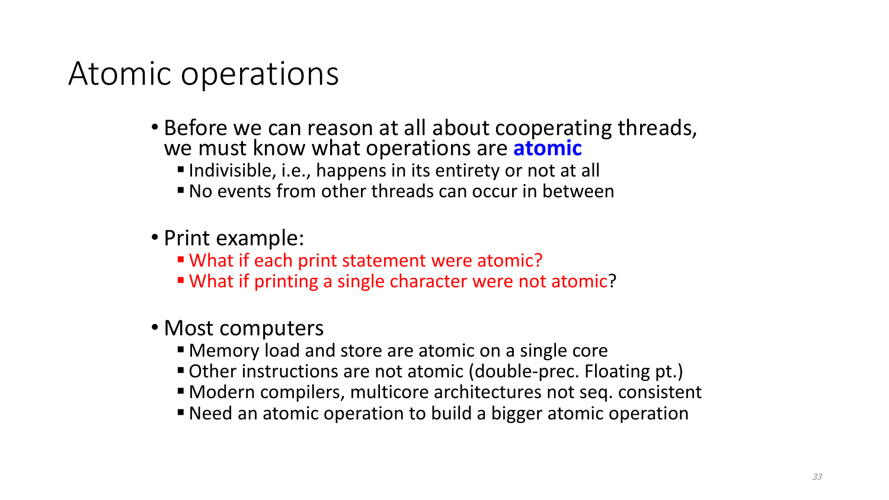#### Atomic operations

- Before we can reason at all about cooperating threads, we must know what operations are **atomic**
	- Indivisible, i.e., happens in its entirety or not at all
	- No events from other threads can occur in between
- Print example:
	- What if each print statement were atomic?
	- What if printing a single character were not atomic?
- Most computers
	- Memory load and store are atomic on a single core
	- Other instructions are not atomic (double-prec. Floating pt.)
	- Modern compilers, multicore architectures not seq. consistent
	- Need an atomic operation to build a bigger atomic operation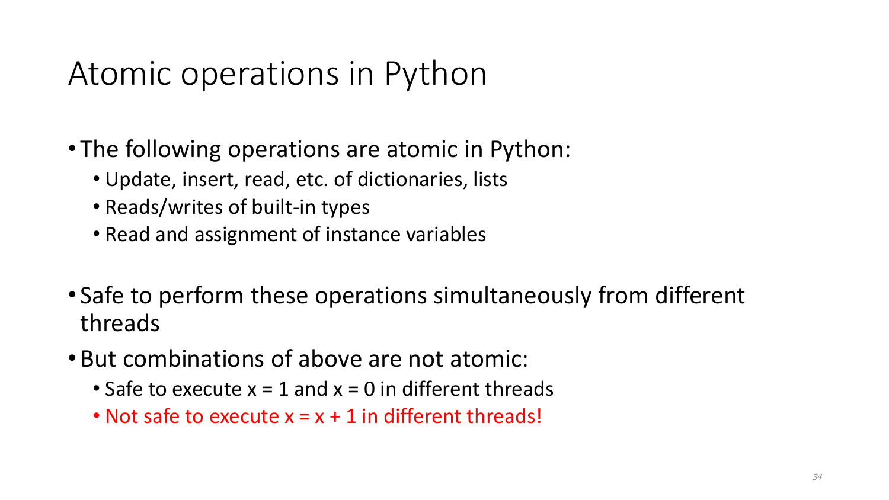### Atomic operations in Python

- The following operations are atomic in Python:
	- Update, insert, read, etc. of dictionaries, lists
	- Reads/writes of built-in types
	- Read and assignment of instance variables
- Safe to perform these operations simultaneously from different threads
- •But combinations of above are not atomic:
	- Safe to execute  $x = 1$  and  $x = 0$  in different threads
	- Not safe to execute  $x = x + 1$  in different threads!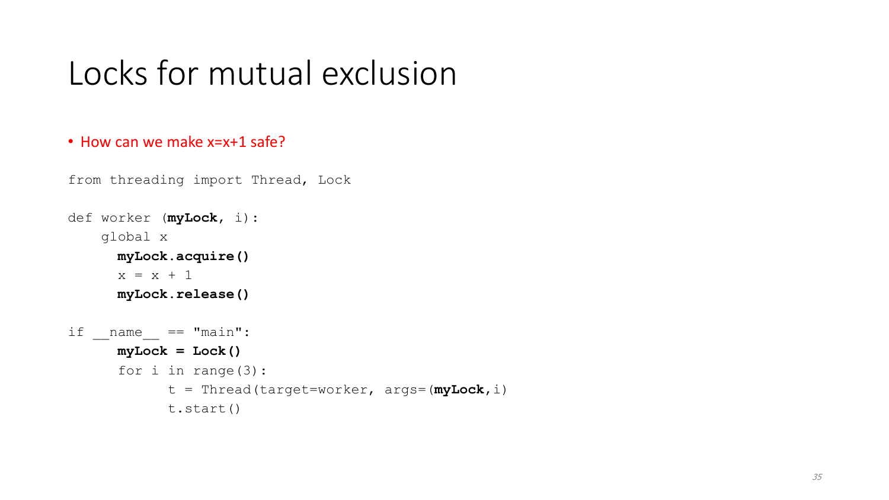#### Locks for mutual exclusion

#### • How can we make x=x+1 safe?

```
from threading import Thread, Lock
```

```
def worker (myLock, i):
    global x
     myLock.acquire()
     x = x + 1myLock.release()
if name == "main":
     myLock = Lock()
     for i in range(3):
            t = Thread(target=worker, args=(myLock,i)
           t.start()
```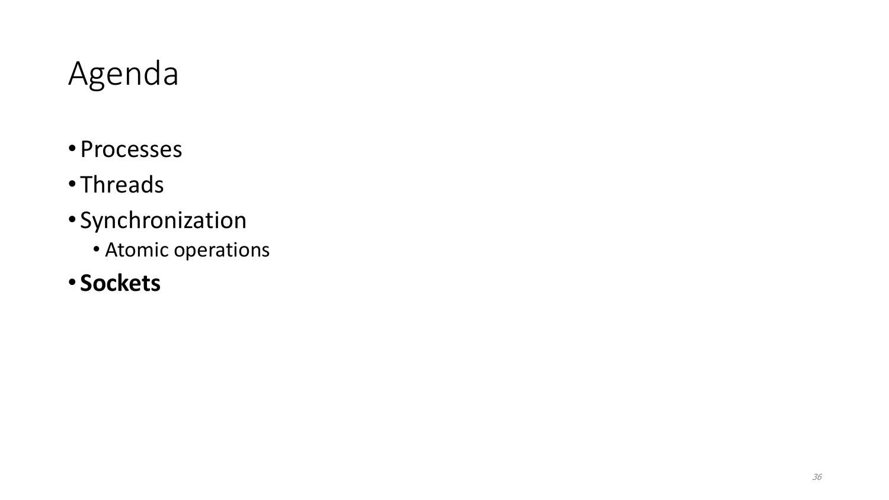#### Agenda

- Processes
- Threads
- Synchronization
	- Atomic operations
- **Sockets**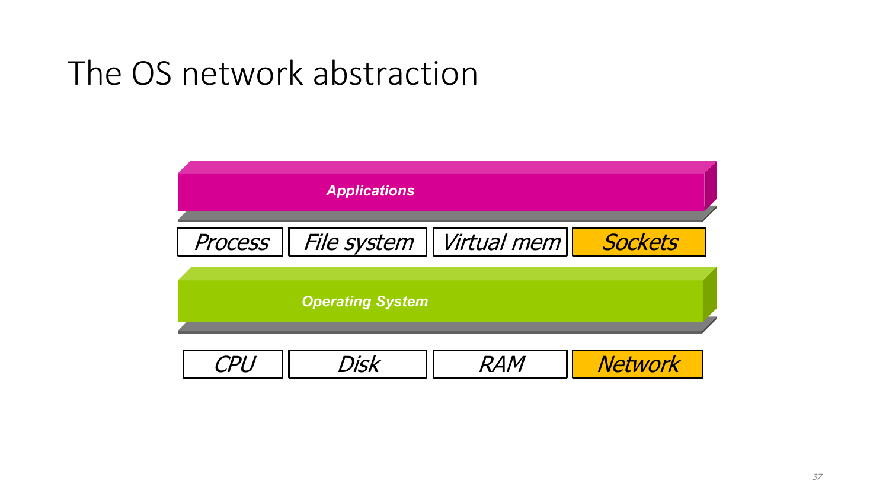## The OS network abstraction

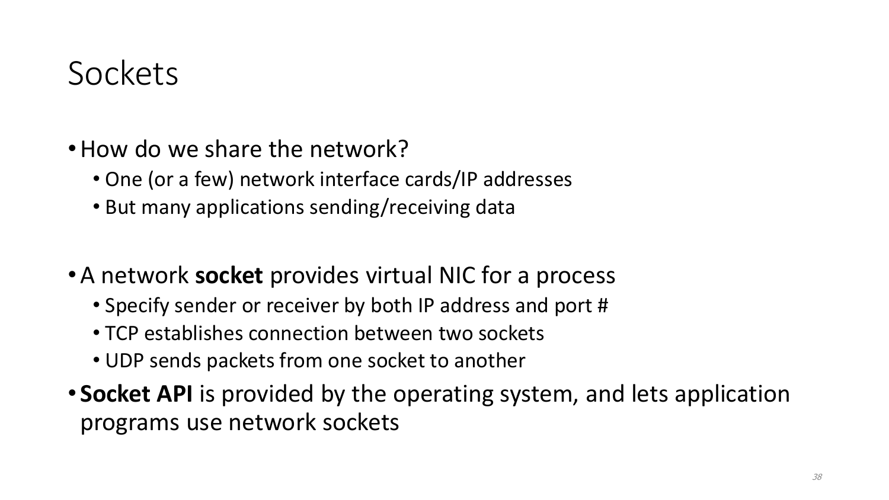#### Sockets

- How do we share the network?
	- One (or a few) network interface cards/IP addresses
	- But many applications sending/receiving data
- •A network **socket** provides virtual NIC for a process
	- Specify sender or receiver by both IP address and port #
	- TCP establishes connection between two sockets
	- UDP sends packets from one socket to another
- **Socket API** is provided by the operating system, and lets application programs use network sockets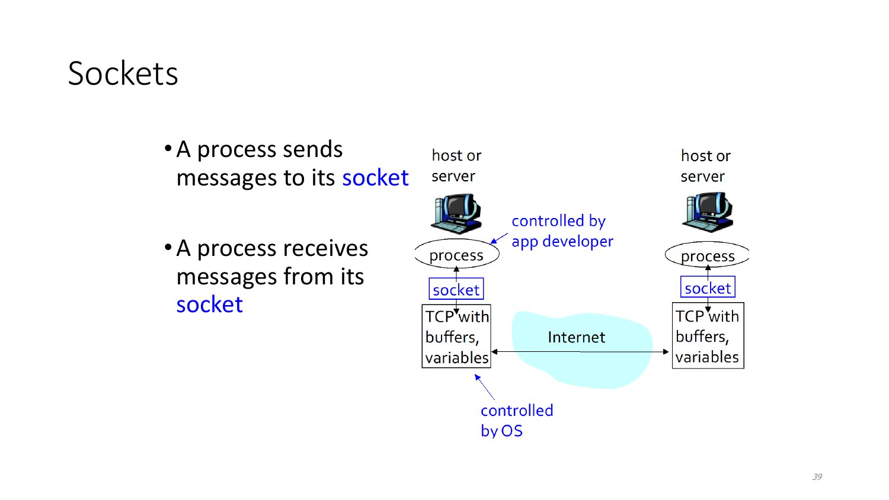#### **Sockets**

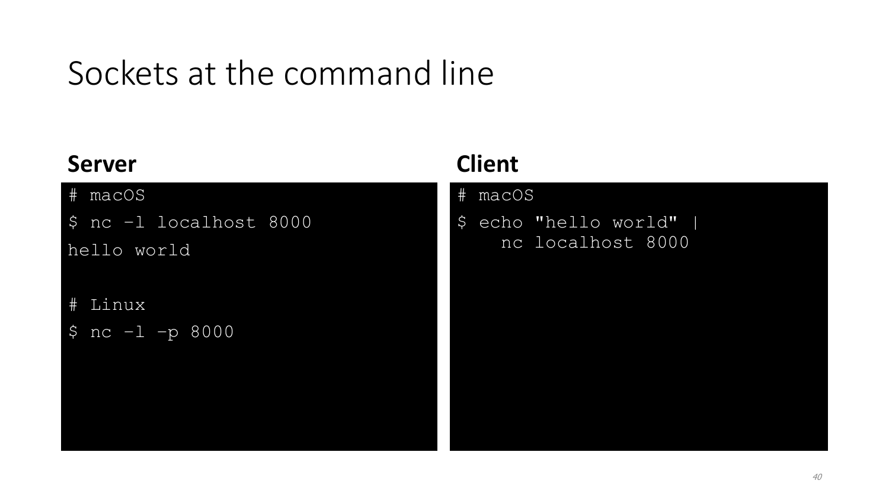# Sockets at the command line

#### **Server**

# macOS

\$ nc –l localhost 8000

hello world

# Linux

\$ nc –l –p 8000

#### **Client**

# macOS

\$ echo "hello world" | nc localhost 8000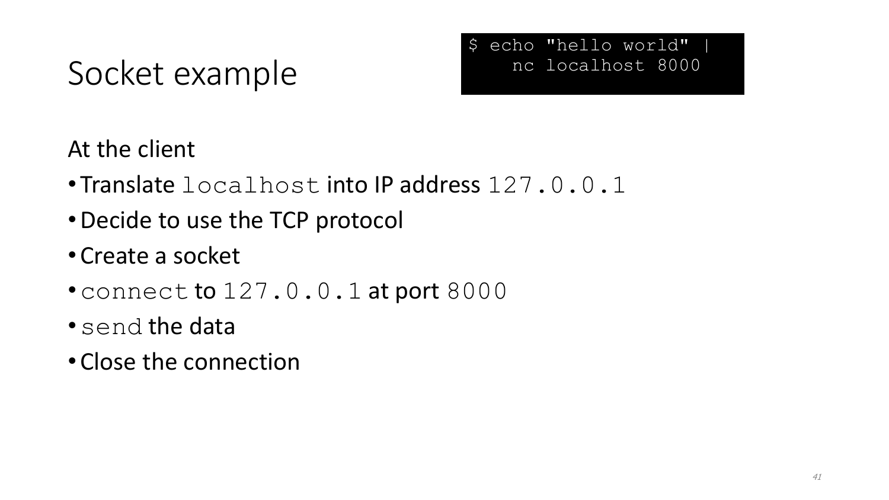# Socket example



At the client

- Translate localhost into IP address 127.0.0.1
- •Decide to use the TCP protocol
- Create a socket
- connect to 127.0.0.1 at port 8000
- •send the data
- Close the connection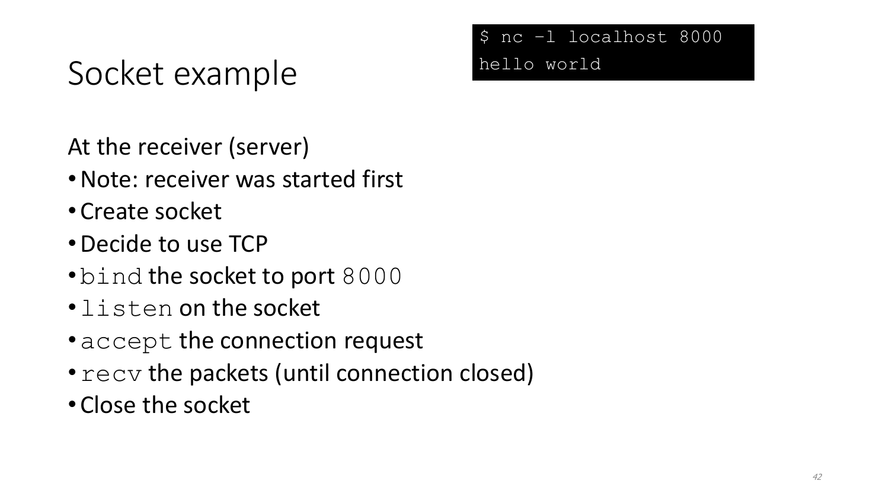# Socket example

- At the receiver (server)
- •Note: receiver was started first
- Create socket
- •Decide to use TCP
- bind the socket to port 8000
- •listen on the socket
- accept the connection request
- $recv$  the packets (until connection closed)
- Close the socket

#### \$ nc –l localhost 8000 hello world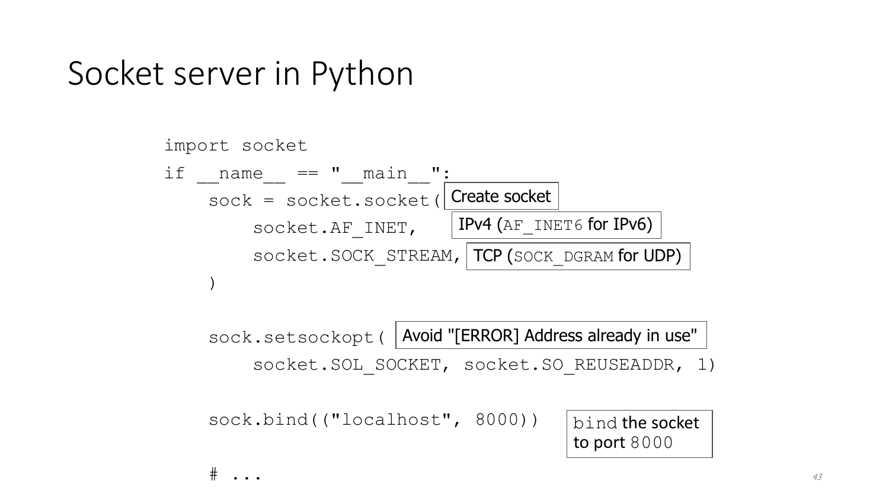

sock.setsockopt( Avoid "[ERROR] Address already in use"

socket.SOL SOCKET, socket.SO REUSEADDR, 1)

sock.bind(("localhost", 8000))

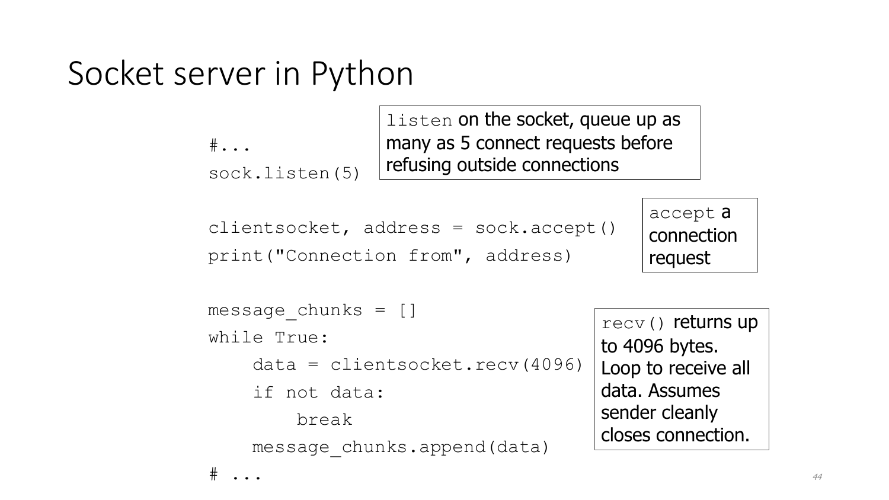```
\#...
sock.listen(5)
```
listen on the socket, queue up as many as 5 connect requests before refusing outside connections

```
clientsocket, address = sock.accept()
print("Connection from", address)
```
accept a connection request

```
message_chunks = []
while True:
    data = clientsocket.recv(4096)
    if not data:
         break
    message_chunks.append(data)
                                          recv() returns up
                                          to 4096 bytes. 
                                          Loop to receive all 
                                          data. Assumes 
                                          sender cleanly 
                                          closes connection.
```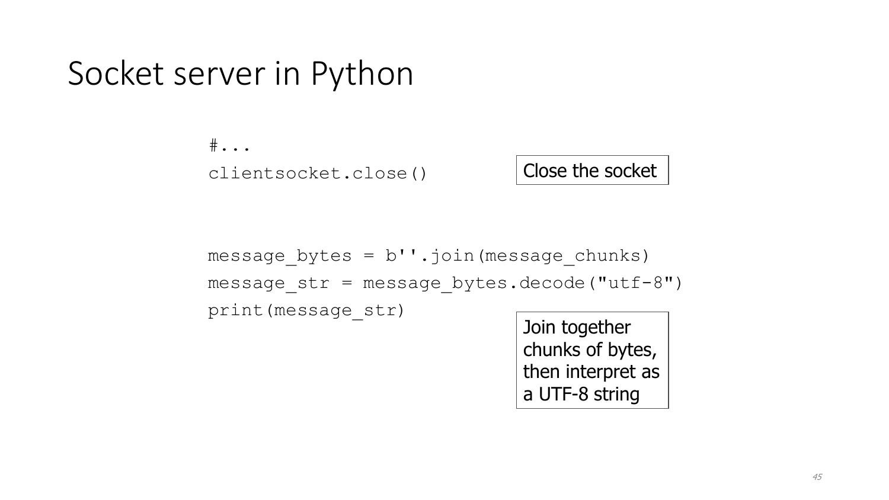$\#$ ... clientsocket.close()

Close the socket

message\_bytes = b''.join(message\_chunks) message\_str = message\_bytes.decode("utf-8") print(message\_str)

Join together chunks of bytes, then interpret as a UTF-8 string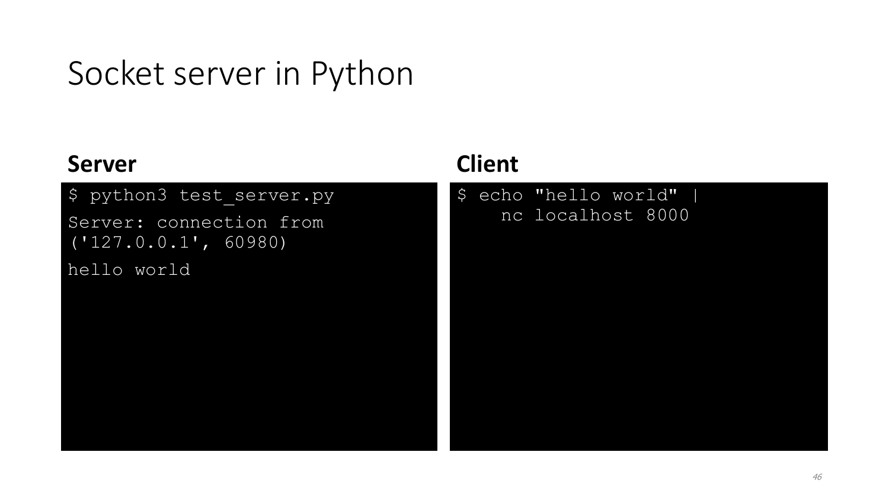#### **Server**

#### \$ python3 test server.py

Server: connection from ('127.0.0.1', 60980)

hello world

#### **Client**

\$ echo "hello world" | nc localhost 8000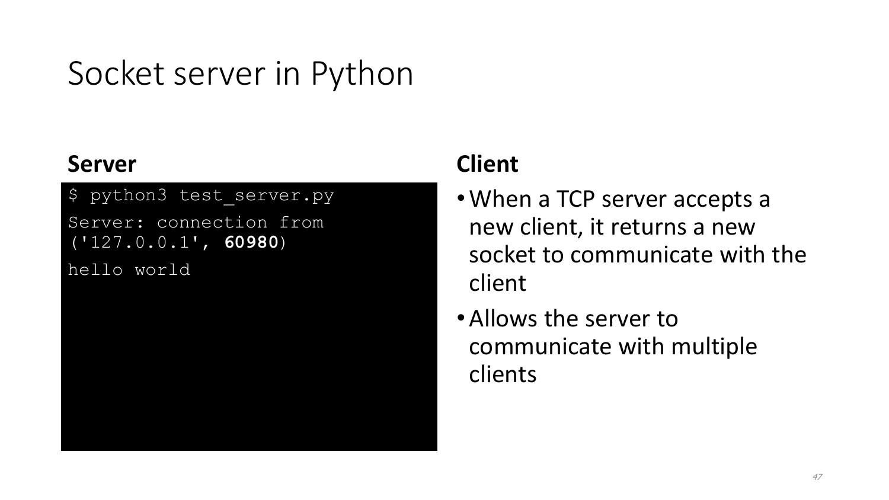#### **Server**

\$ python3 test\_server.py

Server: connection from ('127.0.0.1', **60980**)

hello world

#### **Client**

- •When a TCP server accepts a new client, it returns a new socket to communicate with the client
- •Allows the server to communicate with multiple clients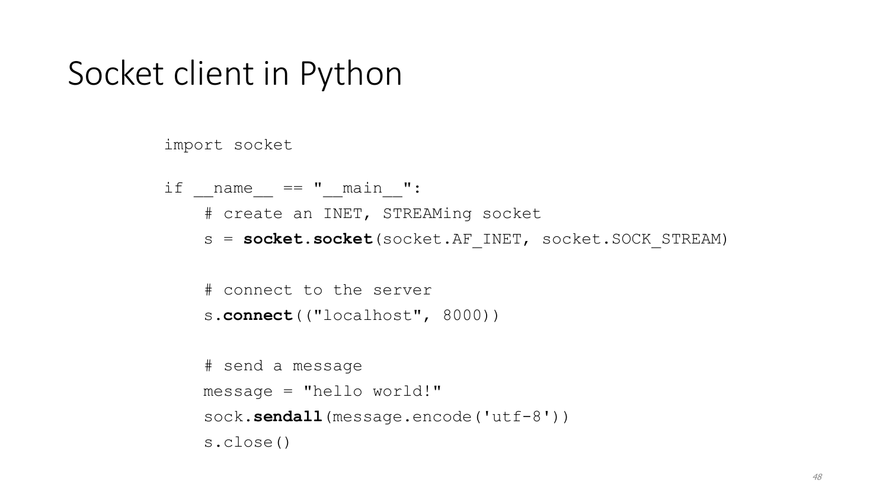#### Socket client in Python

```
import socket
if name = " main ":
   # create an INET, STREAMing socket
    s = socket.socket(socket.AF_INET, socket.SOCK_STREAM)
    # connect to the server
    s.connect(("localhost", 8000))
   # send a message
   message = "hello world!"
    sock.sendall(message.encode('utf-8'))
    s.close()
```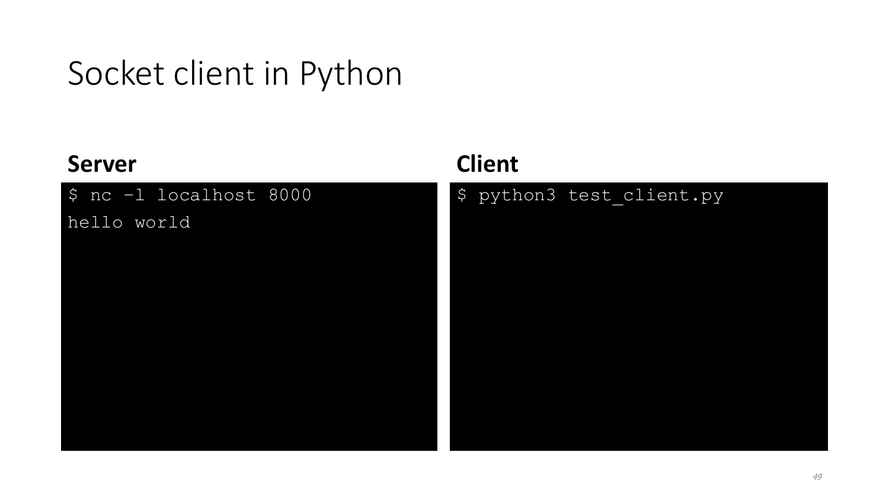## Socket client in Python

#### **Server**

\$ nc –l localhost 8000

hello world

#### **Client**

\$ python3 test\_client.py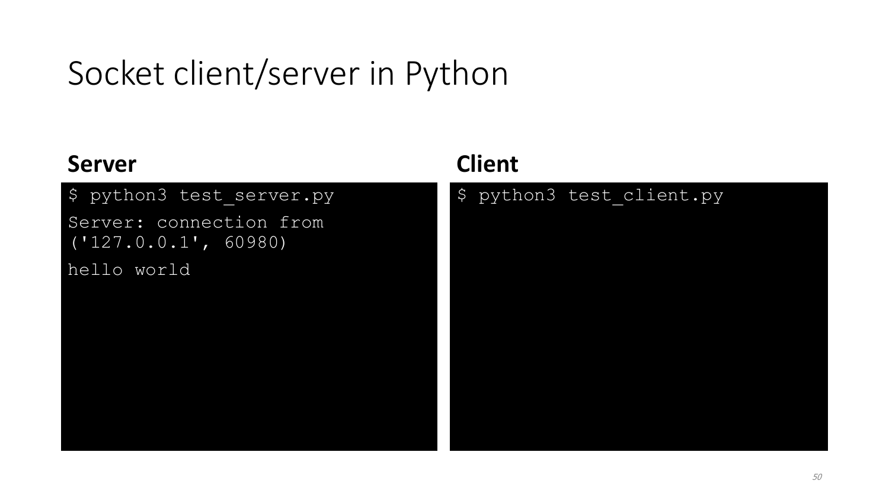# Socket client/server in Python

#### **Server**

#### \$ python3 test server.py

Server: connection from ('127.0.0.1', 60980)

hello world

#### **Client**

#### \$ python3 test\_client.py